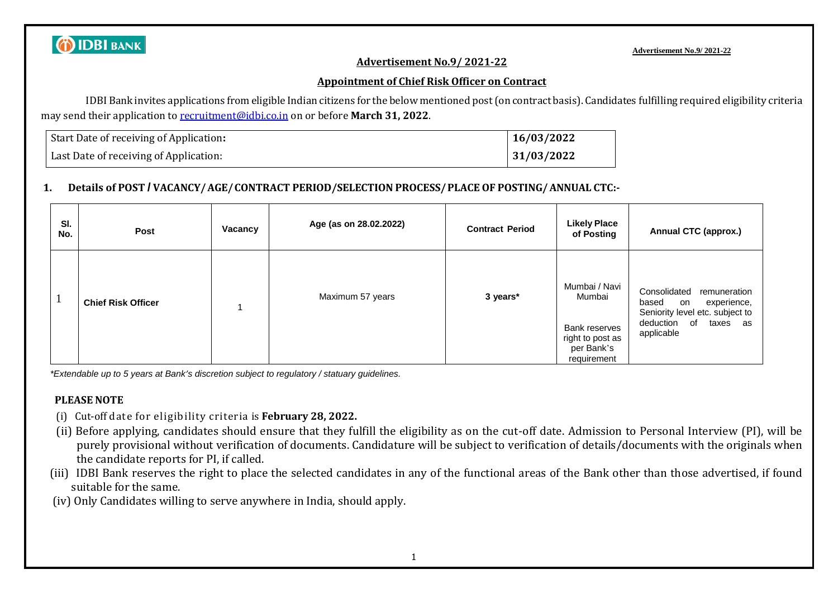

**Advertisement No.9/ 2021-22**

#### **Advertisement No.9/ 2021-22**

#### **Appointment of Chief Risk Officer on Contract**

IDBI Bank invites applications from eligible Indian citizens for the below mentioned post(on contract basis). Candidates fulfilling required eligibility criteria may send their application to [recruitment@idbi.co.in](mailto:recruitment@idbi.co.in) on or before **March 31, 2022**.

| Start Date of receiving of Application: | 16/03/2022 |
|-----------------------------------------|------------|
| Last Date of receiving of Application:  | 31/03/2022 |

## **1. Details of POST / VACANCY/AGE/CONTRACT PERIOD/SELECTION PROCESS/PLACE OF POSTING/ANNUAL CTC:-**

| SI.<br>No. | Post                      | Vacancy | Age (as on 28.02.2022) | <b>Contract Period</b> | <b>Likely Place</b><br>of Posting                                                         | <b>Annual CTC (approx.)</b>                                                                                                             |
|------------|---------------------------|---------|------------------------|------------------------|-------------------------------------------------------------------------------------------|-----------------------------------------------------------------------------------------------------------------------------------------|
|            | <b>Chief Risk Officer</b> |         | Maximum 57 years       | 3 years*               | Mumbai / Navi<br>Mumbai<br>Bank reserves<br>right to post as<br>per Bank's<br>requirement | Consolidated<br>remuneration<br>experience,<br>based<br>on<br>Seniority level etc. subject to<br>deduction of<br>taxes as<br>applicable |

*\*Extendable up to 5 years at Bank's discretion subject to regulatory / statuary guidelines.*

#### **PLEASE NOTE**

- (i) Cut-off date for eligibility criteria is **February 28, 2022.**
- (ii) Before applying, candidates should ensure that they fulfill the eligibility as on the cut-off date. Admission to Personal Interview (PI), will be purely provisional without verification of documents. Candidature will be subject to verification of details/documents with the originals when the candidate reports for PI, if called.
- (iii) IDBI Bank reserves the right to place the selected candidates in any of the functional areas of the Bank other than those advertised, if found suitable for the same.
- (iv) Only Candidates willing to serve anywhere in India, should apply.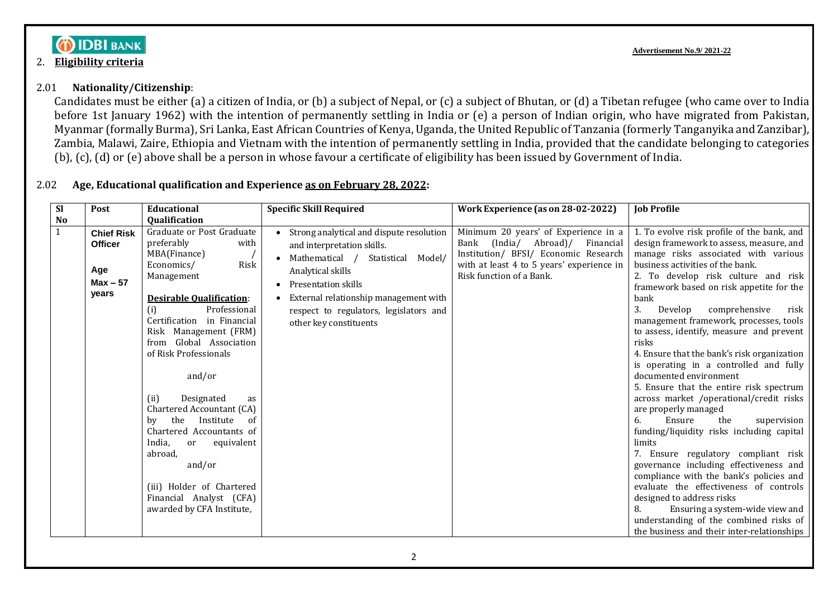# **O IDBI BANK**

### 2. **Eligibility criteria**

### 2.01 **Nationality/Citizenship**:

Candidates must be either (a) a citizen of India, or (b) a subject of Nepal, or (c) a subject of Bhutan, or (d) a Tibetan refugee (who came over to India before 1st January 1962) with the intention of permanently settling in India or (e) a person of Indian origin, who have migrated from Pakistan, Myanmar (formally Burma), Sri Lanka, East African Countries of Kenya, Uganda, the United Republic of Tanzania (formerly Tanganyika and Zanzibar), Zambia, Malawi, Zaire, Ethiopia and Vietnam with the intention of permanently settling in India, provided that the candidate belonging to categories (b), (c), (d) or (e) above shall be a person in whose favour a certificate of eligibility has been issued by Government of India.

## 2.02 **Age, Educational qualification and Experience as on February 28, 2022:**

| <b>SI</b><br>No | Post                                                              | <b>Educational</b><br>Qualification                                                                                                                                                                                                                                                                                                                                                                                                                                                                                                                          | <b>Specific Skill Required</b>                                                                                                                                                                                                                                             | Work Experience (as on 28-02-2022)                                                                                                                                                             | <b>Job Profile</b>                                                                                                                                                                                                                                                                                                                                                                                                                                                                                                                                                                                                                                                                                                                                                                                                                                                                                                                                                                                                                                                       |
|-----------------|-------------------------------------------------------------------|--------------------------------------------------------------------------------------------------------------------------------------------------------------------------------------------------------------------------------------------------------------------------------------------------------------------------------------------------------------------------------------------------------------------------------------------------------------------------------------------------------------------------------------------------------------|----------------------------------------------------------------------------------------------------------------------------------------------------------------------------------------------------------------------------------------------------------------------------|------------------------------------------------------------------------------------------------------------------------------------------------------------------------------------------------|--------------------------------------------------------------------------------------------------------------------------------------------------------------------------------------------------------------------------------------------------------------------------------------------------------------------------------------------------------------------------------------------------------------------------------------------------------------------------------------------------------------------------------------------------------------------------------------------------------------------------------------------------------------------------------------------------------------------------------------------------------------------------------------------------------------------------------------------------------------------------------------------------------------------------------------------------------------------------------------------------------------------------------------------------------------------------|
| $\mathbf{1}$    | <b>Chief Risk</b><br><b>Officer</b><br>Age<br>$Max - 57$<br>years | Graduate or Post Graduate<br>preferably<br>with<br>MBA(Finance)<br>Risk<br>Economics/<br>Management<br><b>Desirable Qualification:</b><br>Professional<br>(i)<br>Certification in Financial<br>Risk Management (FRM)<br>from Global Association<br>of Risk Professionals<br>and/or<br>Designated<br>(ii)<br>as<br>Chartered Accountant (CA)<br>the<br>Institute<br>- of<br>by<br>Chartered Accountants of<br>India.<br>equivalent<br><sub>or</sub><br>abroad,<br>and/or<br>(iii) Holder of Chartered<br>Financial Analyst (CFA)<br>awarded by CFA Institute, | Strong analytical and dispute resolution<br>and interpretation skills.<br>Model/<br>Mathematical /<br>Statistical<br>Analytical skills<br>Presentation skills<br>External relationship management with<br>respect to regulators, legislators and<br>other key constituents | Minimum 20 years' of Experience in a<br>(India/ Abroad)/<br>Financial<br>Bank<br>Institution/ BFSI/ Economic Research<br>with at least 4 to 5 years' experience in<br>Risk function of a Bank. | 1. To evolve risk profile of the bank, and<br>design framework to assess, measure, and<br>manage risks associated with various<br>business activities of the bank.<br>2. To develop risk culture and risk<br>framework based on risk appetite for the<br>bank<br>3.<br>Develop<br>comprehensive<br>risk<br>management framework, processes, tools<br>to assess, identify, measure and prevent<br>risks<br>4. Ensure that the bank's risk organization<br>is operating in a controlled and fully<br>documented environment<br>5. Ensure that the entire risk spectrum<br>across market /operational/credit risks<br>are properly managed<br>Ensure<br>the<br>supervision<br>6.<br>funding/liquidity risks including capital<br>limits<br>7. Ensure regulatory compliant risk<br>governance including effectiveness and<br>compliance with the bank's policies and<br>evaluate the effectiveness of controls<br>designed to address risks<br>Ensuring a system-wide view and<br>8.<br>understanding of the combined risks of<br>the business and their inter-relationships |

**Advertisement No.9/ 2021-22**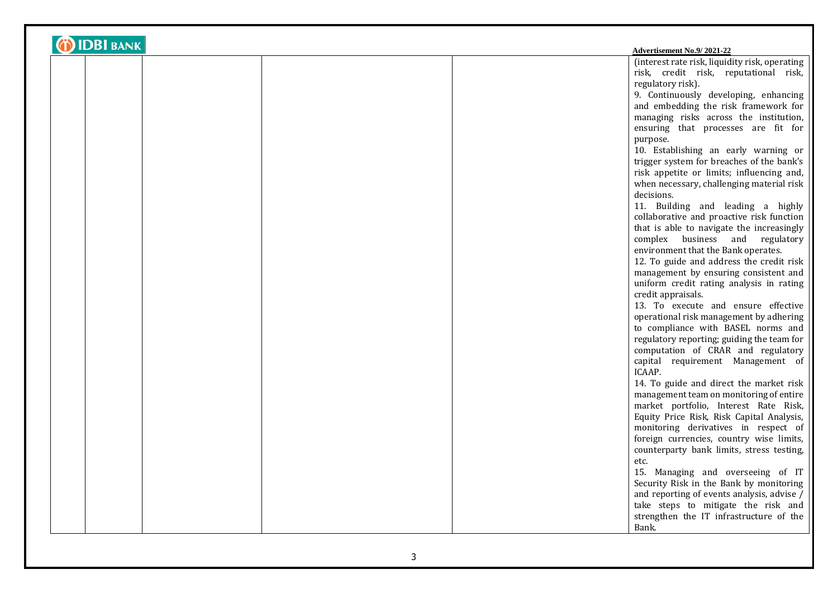| <b>(b) IDBI BANK</b> |  |                                                |  |  |
|----------------------|--|------------------------------------------------|--|--|
|                      |  | <b>Advertisement No.9/2021-22</b>              |  |  |
|                      |  | (interest rate risk, liquidity risk, operating |  |  |
|                      |  | risk, credit risk, reputational risk,          |  |  |
|                      |  | regulatory risk).                              |  |  |
|                      |  | 9. Continuously developing, enhancing          |  |  |
|                      |  | and embedding the risk framework for           |  |  |
|                      |  | managing risks across the institution,         |  |  |
|                      |  | ensuring that processes are fit for            |  |  |
|                      |  | purpose.                                       |  |  |
|                      |  | 10. Establishing an early warning or           |  |  |
|                      |  | trigger system for breaches of the bank's      |  |  |
|                      |  | risk appetite or limits; influencing and,      |  |  |
|                      |  | when necessary, challenging material risk      |  |  |
|                      |  | decisions.                                     |  |  |
|                      |  | 11. Building and leading a highly              |  |  |
|                      |  | collaborative and proactive risk function      |  |  |
|                      |  | that is able to navigate the increasingly      |  |  |
|                      |  | complex business and regulatory                |  |  |
|                      |  | environment that the Bank operates.            |  |  |
|                      |  | 12. To guide and address the credit risk       |  |  |
|                      |  | management by ensuring consistent and          |  |  |
|                      |  | uniform credit rating analysis in rating       |  |  |
|                      |  | credit appraisals.                             |  |  |
|                      |  | 13. To execute and ensure effective            |  |  |
|                      |  | operational risk management by adhering        |  |  |
|                      |  | to compliance with BASEL norms and             |  |  |
|                      |  | regulatory reporting; guiding the team for     |  |  |
|                      |  | computation of CRAR and regulatory             |  |  |
|                      |  | capital requirement Management of              |  |  |
|                      |  | ICAAP.                                         |  |  |
|                      |  | 14. To guide and direct the market risk        |  |  |
|                      |  | management team on monitoring of entire        |  |  |
|                      |  | market portfolio, Interest Rate Risk,          |  |  |
|                      |  | Equity Price Risk, Risk Capital Analysis,      |  |  |
|                      |  | monitoring derivatives in respect of           |  |  |
|                      |  | foreign currencies, country wise limits,       |  |  |
|                      |  | counterparty bank limits, stress testing,      |  |  |
|                      |  | etc.                                           |  |  |
|                      |  | 15. Managing and overseeing of IT              |  |  |
|                      |  | Security Risk in the Bank by monitoring        |  |  |
|                      |  | and reporting of events analysis, advise /     |  |  |
|                      |  | take steps to mitigate the risk and            |  |  |
|                      |  | strengthen the IT infrastructure of the        |  |  |
|                      |  | Bank.                                          |  |  |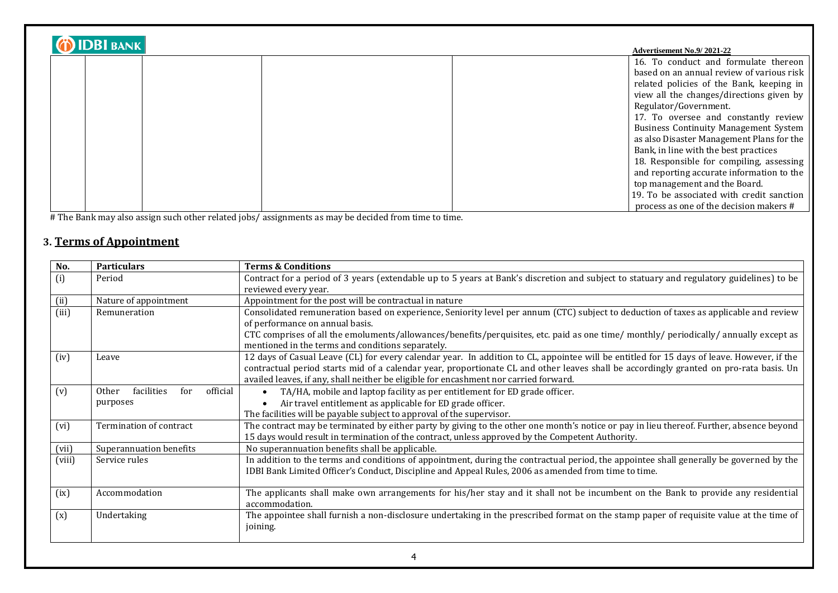| <b>IDBI BANK</b><br><b>Advertisement No.9/ 2021-22</b> |  |  |  |                                              |
|--------------------------------------------------------|--|--|--|----------------------------------------------|
|                                                        |  |  |  | 16. To conduct and formulate thereon         |
|                                                        |  |  |  | based on an annual review of various risk    |
|                                                        |  |  |  | related policies of the Bank, keeping in     |
|                                                        |  |  |  | view all the changes/directions given by     |
|                                                        |  |  |  | Regulator/Government.                        |
|                                                        |  |  |  | 17. To oversee and constantly review         |
|                                                        |  |  |  | <b>Business Continuity Management System</b> |
|                                                        |  |  |  | as also Disaster Management Plans for the    |
|                                                        |  |  |  | Bank, in line with the best practices        |
|                                                        |  |  |  | 18. Responsible for compiling, assessing     |
|                                                        |  |  |  | and reporting accurate information to the    |
|                                                        |  |  |  | top management and the Board.                |
|                                                        |  |  |  | 19. To be associated with credit sanction    |
|                                                        |  |  |  | process as one of the decision makers #      |

# The Bank may also assign such other related jobs/ assignments as may be decided from time to time.

# **3. Terms of Appointment**

| No.    | <b>Particulars</b>                     | <b>Terms &amp; Conditions</b>                                                                                                             |
|--------|----------------------------------------|-------------------------------------------------------------------------------------------------------------------------------------------|
| (i)    | Period                                 | Contract for a period of 3 years (extendable up to 5 years at Bank's discretion and subject to statuary and regulatory guidelines) to be  |
|        |                                        | reviewed every year.                                                                                                                      |
| (ii)   | Nature of appointment                  | Appointment for the post will be contractual in nature                                                                                    |
| (iii)  | Remuneration                           | Consolidated remuneration based on experience, Seniority level per annum (CTC) subject to deduction of taxes as applicable and review     |
|        |                                        | of performance on annual basis.                                                                                                           |
|        |                                        | CTC comprises of all the emoluments/allowances/benefits/perquisites, etc. paid as one time/ monthly/ periodically/ annually except as     |
|        |                                        | mentioned in the terms and conditions separately.                                                                                         |
| (iv)   | Leave                                  | 12 days of Casual Leave (CL) for every calendar year. In addition to CL, appointee will be entitled for 15 days of leave. However, if the |
|        |                                        | contractual period starts mid of a calendar year, proportionate CL and other leaves shall be accordingly granted on pro-rata basis. Un    |
|        |                                        | availed leaves, if any, shall neither be eligible for encashment nor carried forward.                                                     |
| (v)    | official<br>Other<br>facilities<br>for | TA/HA, mobile and laptop facility as per entitlement for ED grade officer.                                                                |
|        | purposes                               | Air travel entitlement as applicable for ED grade officer.                                                                                |
|        |                                        | The facilities will be payable subject to approval of the supervisor.                                                                     |
| (vi)   | Termination of contract                | The contract may be terminated by either party by giving to the other one month's notice or pay in lieu thereof. Further, absence beyond  |
|        |                                        | 15 days would result in termination of the contract, unless approved by the Competent Authority.                                          |
| (vii)  | Superannuation benefits                | No superannuation benefits shall be applicable.                                                                                           |
| (viii) | Service rules                          | In addition to the terms and conditions of appointment, during the contractual period, the appointee shall generally be governed by the   |
|        |                                        | IDBI Bank Limited Officer's Conduct, Discipline and Appeal Rules, 2006 as amended from time to time.                                      |
|        |                                        |                                                                                                                                           |
| (ix)   | Accommodation                          | The applicants shall make own arrangements for his/her stay and it shall not be incumbent on the Bank to provide any residential          |
|        |                                        | accommodation.                                                                                                                            |
| (x)    | Undertaking                            | The appointee shall furnish a non-disclosure undertaking in the prescribed format on the stamp paper of requisite value at the time of    |
|        |                                        | joining.                                                                                                                                  |
|        |                                        |                                                                                                                                           |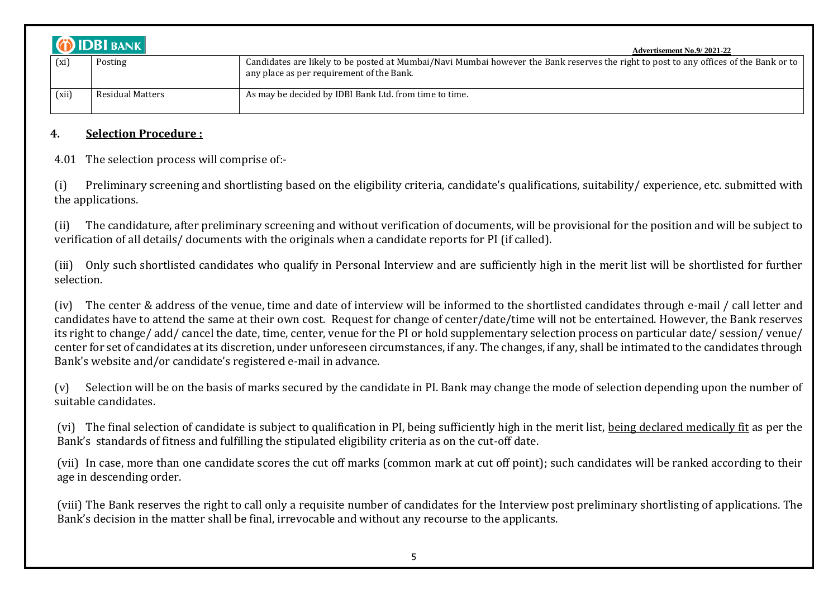|       | <b>DIDBI</b> BANK       | <b>Advertisement No.9/2021-22</b>                                                                                                                                                  |
|-------|-------------------------|------------------------------------------------------------------------------------------------------------------------------------------------------------------------------------|
| (xi)  | Posting                 | Candidates are likely to be posted at Mumbai/Navi Mumbai however the Bank reserves the right to post to any offices of the Bank or to<br>any place as per requirement of the Bank. |
| (xii) | <b>Residual Matters</b> | As may be decided by IDBI Bank Ltd. from time to time.                                                                                                                             |

### **4. Selection Procedure :**

4.01 The selection process will comprise of:-

(i) Preliminary screening and shortlisting based on the eligibility criteria, candidate's qualifications, suitability/ experience, etc. submitted with the applications.

(ii) The candidature, after preliminary screening and without verification of documents, will be provisional for the position and will be subject to verification of all details/ documents with the originals when a candidate reports for PI (if called).

(iii) Only such shortlisted candidates who qualify in Personal Interview and are sufficiently high in the merit list will be shortlisted for further selection.

(iv) The center & address of the venue, time and date of interview will be informed to the shortlisted candidates through e-mail / call letter and candidates have to attend the same at their own cost. Request for change of center/date/time will not be entertained. However, the Bank reserves its right to change/ add/ cancel the date, time, center, venue for the PI or hold supplementary selection process on particular date/ session/ venue/ center for set of candidates at its discretion, under unforeseen circumstances, if any. The changes, if any, shall be intimated to the candidates through Bank's website and/or candidate's registered e-mail in advance.

(v) Selection will be on the basis of marks secured by the candidate in PI. Bank may change the mode of selection depending upon the number of suitable candidates.

(vi) The final selection of candidate is subject to qualification in PI, being sufficiently high in the merit list, being declared medically fit as per the Bank's standards of fitness and fulfilling the stipulated eligibility criteria as on the cut-off date.

(vii) In case, more than one candidate scores the cut off marks (common mark at cut off point); such candidates will be ranked according to their age in descending order.

(viii) The Bank reserves the right to call only a requisite number of candidates for the Interview post preliminary shortlisting of applications. The Bank's decision in the matter shall be final, irrevocable and without any recourse to the applicants.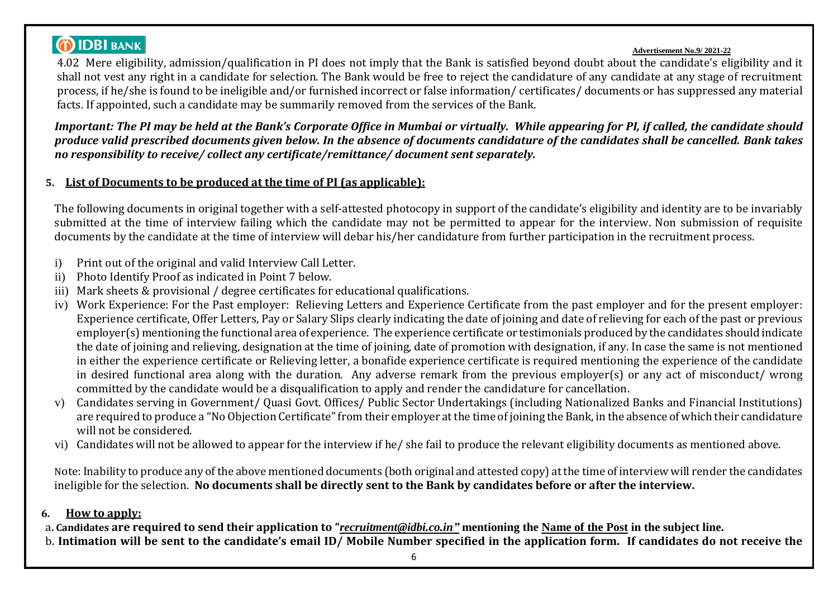# **DIDBI BANK**

### **Advertisement No.9/ 2021-22**

4.02 Mere eligibility, admission/qualification in PI does not imply that the Bank is satisfied beyond doubt about the candidate's eligibility and it shall not vest any right in a candidate for selection. The Bank would be free to reject the candidature of any candidate at any stage of recruitment process, if he/she is found to be ineligible and/or furnished incorrect or false information/ certificates/ documents or has suppressed any material facts. If appointed, such a candidate may be summarily removed from the services of the Bank.

*Important: The PI may be held at the Bank's Corporate Office in Mumbai or virtually. While appearing for PI, if called, the candidate should produce valid prescribed documents given below. In the absence of documents candidature of the candidates shall be cancelled. Bank takes no responsibility to receive/ collect any certificate/remittance/ document sent separately.*

# **5. List of Documents to be produced at the time of PI (as applicable):**

The following documents in original together with a self-attested photocopy in support of the candidate's eligibility and identity are to be invariably submitted at the time of interview failing which the candidate may not be permitted to appear for the interview. Non submission of requisite documents by the candidate at the time of interview will debar his/her candidature from further participation in the recruitment process.

- i) Print out of the original and valid Interview Call Letter.
- ii) Photo Identify Proof as indicated in Point 7 below.
- iii) Mark sheets & provisional / degree certificates for educational qualifications.
- iv) Work Experience: For the Past employer: Relieving Letters and Experience Certificate from the past employer and for the present employer: Experience certificate, Offer Letters, Pay or Salary Slips clearly indicating the date of joining and date of relieving for each of the past or previous employer(s) mentioning the functional area of experience. The experience certificate or testimonials produced by the candidates should indicate the date of joining and relieving, designation at the time of joining, date of promotion with designation, if any. In case the same is not mentioned in either the experience certificate or Relieving letter, a bonafide experience certificate is required mentioning the experience of the candidate in desired functional area along with the duration. Any adverse remark from the previous employer(s) or any act of misconduct/ wrong committed by the candidate would be a disqualification to apply and render the candidature for cancellation.
- v) Candidates serving in Government/ Quasi Govt. Offices/ Public Sector Undertakings (including Nationalized Banks and Financial Institutions) are required to produce a "No Objection Certificate" from their employer at the time of joining the Bank, in the absence of which their candidature will not be considered.
- vi) Candidates will not be allowed to appear for the interview if he/ she fail to produce the relevant eligibility documents as mentioned above.

Note: Inability to produce any of the above mentioned documents (both original and attested copy) at the time of interview will render the candidates ineligible for the selection. **No documents shall be directly sent to the Bank by candidates before or after the interview.**

### **6. How to apply:**

a**. Candidates are required to send their application to "***[recruitment@idbi.co.in"](mailto:recruitment@idbi.co.in)* **mentioning the Name of the Post in the subject line.**  b. **Intimation will be sent to the candidate's email ID/ Mobile Number specified in the application form. If candidates do not receive the**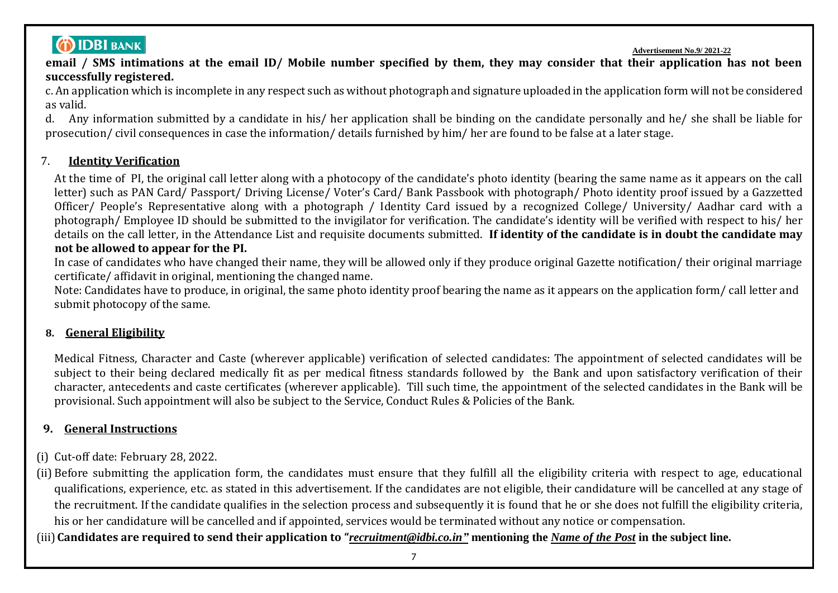# **O IDBI BANK**

**Advertisement No.9/ 2021-22**

**email / SMS intimations at the email ID/ Mobile number specified by them, they may consider that their application has not been successfully registered.**

c. An application which is incomplete in any respect such as without photograph and signature uploaded in the application form will not be considered as valid.

d. Any information submitted by a candidate in his/ her application shall be binding on the candidate personally and he/ she shall be liable for prosecution/ civil consequences in case the information/ details furnished by him/ her are found to be false at a later stage.

# 7. **Identity Verification**

At the time of PI, the original call letter along with a photocopy of the candidate's photo identity (bearing the same name as it appears on the call letter) such as PAN Card/ Passport/ Driving License/ Voter's Card/ Bank Passbook with photograph/ Photo identity proof issued by a Gazzetted Officer/ People's Representative along with a photograph / Identity Card issued by a recognized College/ University/ Aadhar card with a photograph/ Employee ID should be submitted to the invigilator for verification. The candidate's identity will be verified with respect to his/ her details on the call letter, in the Attendance List and requisite documents submitted. **If identity of the candidate is in doubt the candidate may not be allowed to appear for the PI.** 

In case of candidates who have changed their name, they will be allowed only if they produce original Gazette notification/ their original marriage certificate/ affidavit in original, mentioning the changed name.

Note: Candidates have to produce, in original, the same photo identity proof bearing the name as it appears on the application form/ call letter and submit photocopy of the same.

# **8. General Eligibility**

Medical Fitness, Character and Caste (wherever applicable) verification of selected candidates: The appointment of selected candidates will be subject to their being declared medically fit as per medical fitness standards followed by the Bank and upon satisfactory verification of their character, antecedents and caste certificates (wherever applicable). Till such time, the appointment of the selected candidates in the Bank will be provisional. Such appointment will also be subject to the Service, Conduct Rules & Policies of the Bank.

# **9. General Instructions**

- (i) Cut-off date: February 28, 2022.
- (ii) Before submitting the application form, the candidates must ensure that they fulfill all the eligibility criteria with respect to age, educational qualifications, experience, etc. as stated in this advertisement. If the candidates are not eligible, their candidature will be cancelled at any stage of the recruitment. If the candidate qualifies in the selection process and subsequently it is found that he or she does not fulfill the eligibility criteria, his or her candidature will be cancelled and if appointed, services would be terminated without any notice or compensation.
- (iii)**Candidates are required to send their application to "***[recruitment@idbi.co.in"](mailto:recruitment@idbi.co.in)* **mentioning the** *Name of the Post* **in the subject line.**